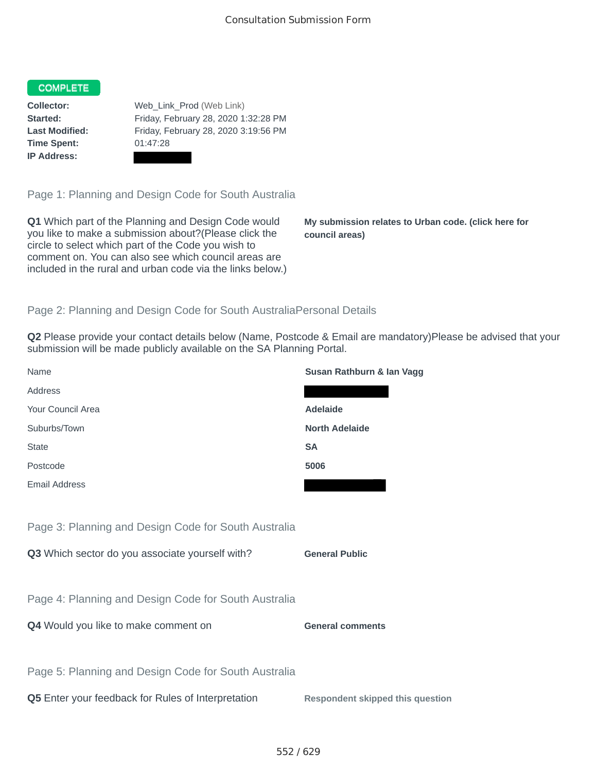### COMPLETE

**Time Spent:** 01:47:28 **IP Address:**

**Collector:** Web\_Link\_Prod (Web Link) **Started:** Friday, February 28, 2020 1:32:28 PM **Last Modified:** Friday, February 28, 2020 3:19:56 PM

Page 1: Planning and Design Code for South Australia

**Q1** Which part of the Planning and Design Code would you like to make a submission about?(Please click the circle to select which part of the Code you wish to comment on. You can also see which council areas are included in the rural and urban code via the links below.)

**My submission relates to Urban code. (click here for council areas)**

## Page 2: Planning and Design Code for South AustraliaPersonal Details

**Q2** Please provide your contact details below (Name, Postcode & Email are mandatory)Please be advised that your submission will be made publicly available on the SA Planning Portal.

| Name                                                 | Susan Rathburn & Ian Vagg               |
|------------------------------------------------------|-----------------------------------------|
| Address                                              |                                         |
| Your Council Area                                    | <b>Adelaide</b>                         |
| Suburbs/Town                                         | <b>North Adelaide</b>                   |
| <b>State</b>                                         | <b>SA</b>                               |
| Postcode                                             | 5006                                    |
| <b>Email Address</b>                                 |                                         |
|                                                      |                                         |
| Page 3: Planning and Design Code for South Australia |                                         |
| Q3 Which sector do you associate yourself with?      | <b>General Public</b>                   |
|                                                      |                                         |
| Page 4: Planning and Design Code for South Australia |                                         |
| Q4 Would you like to make comment on                 | <b>General comments</b>                 |
|                                                      |                                         |
| Page 5: Planning and Design Code for South Australia |                                         |
| Q5 Enter your feedback for Rules of Interpretation   | <b>Respondent skipped this question</b> |
|                                                      |                                         |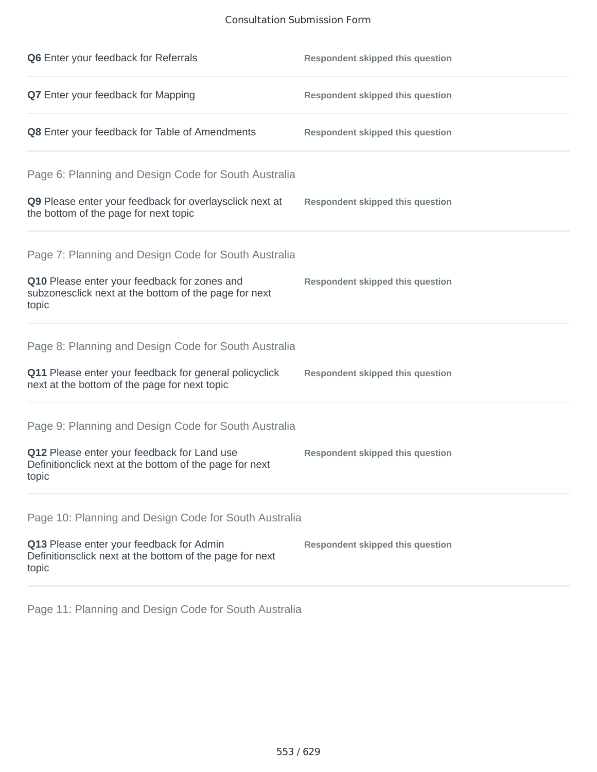## Consultation Submission Form

| Q6 Enter your feedback for Referrals                                                                            | <b>Respondent skipped this question</b> |
|-----------------------------------------------------------------------------------------------------------------|-----------------------------------------|
| Q7 Enter your feedback for Mapping                                                                              | <b>Respondent skipped this question</b> |
| Q8 Enter your feedback for Table of Amendments                                                                  | <b>Respondent skipped this question</b> |
| Page 6: Planning and Design Code for South Australia                                                            |                                         |
| Q9 Please enter your feedback for overlaysclick next at<br>the bottom of the page for next topic                | <b>Respondent skipped this question</b> |
| Page 7: Planning and Design Code for South Australia                                                            |                                         |
| Q10 Please enter your feedback for zones and<br>subzonesclick next at the bottom of the page for next<br>topic  | <b>Respondent skipped this question</b> |
| Page 8: Planning and Design Code for South Australia                                                            |                                         |
| Q11 Please enter your feedback for general policyclick<br>next at the bottom of the page for next topic         | <b>Respondent skipped this question</b> |
| Page 9: Planning and Design Code for South Australia                                                            |                                         |
| Q12 Please enter your feedback for Land use<br>Definitionclick next at the bottom of the page for next<br>topic | <b>Respondent skipped this question</b> |
| Page 10: Planning and Design Code for South Australia                                                           |                                         |
| Q13 Please enter your feedback for Admin<br>Definitionsclick next at the bottom of the page for next<br>topic   | <b>Respondent skipped this question</b> |

Page 11: Planning and Design Code for South Australia